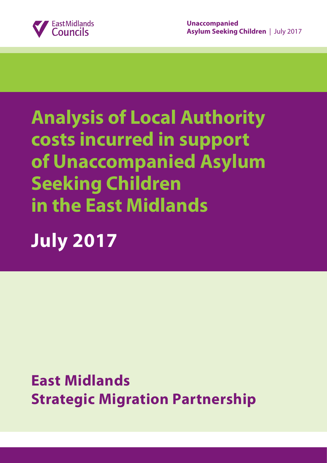

# **Analysis of Local Authority costs incurred in support of Unaccompanied Asylum Seeking Children in the East Midlands**

# **July 2017**

**East Midlands Strategic Migration Partnership**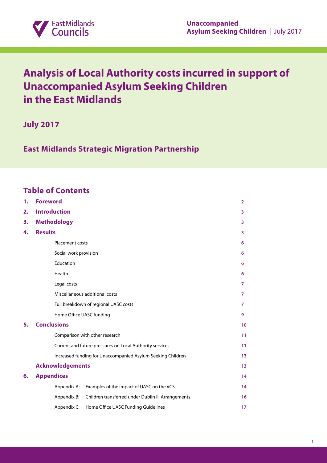

# **Analysis of Local Authority costs incurred in support of Unaccompanied Asylum Seeking Children in the East Midlands**

**July 2017**

**East Midlands Strategic Migration Partnership**

# **Table of Contents**

| 1. | <b>Foreword</b>                |                                                             | $\overline{2}$ |
|----|--------------------------------|-------------------------------------------------------------|----------------|
| 2. | <b>Introduction</b>            |                                                             | 3              |
| 3. | <b>Methodology</b>             |                                                             |                |
| 4. | <b>Results</b>                 |                                                             |                |
|    | Placement costs                |                                                             | 6              |
|    | Social work provision          |                                                             | 6              |
|    | Education                      |                                                             | 6              |
|    | Health                         |                                                             | 6              |
|    | Legal costs                    |                                                             | $\overline{7}$ |
|    | Miscellaneous additional costs |                                                             |                |
|    |                                | Full breakdown of regional UASC costs                       | $\overline{7}$ |
|    | Home Office UASC funding       |                                                             | 9              |
| 5. | <b>Conclusions</b>             |                                                             | 10             |
|    |                                | Comparison with other research                              | 11             |
|    |                                | Current and future pressures on Local Authority services    | 11             |
|    |                                | Increased funding for Unaccompanied Asylum Seeking Children | 13             |
|    | <b>Acknowledgements</b>        |                                                             | 13             |
| 6. | <b>Appendices</b>              |                                                             | 14             |
|    | Appendix A:                    | Examples of the impact of UASC on the VCS                   | 14             |
|    | Appendix B:                    | Children transferred under Dublin III Arrangements          | 16             |
|    | Appendix C:                    | Home Office UASC Funding Guidelines                         | 17             |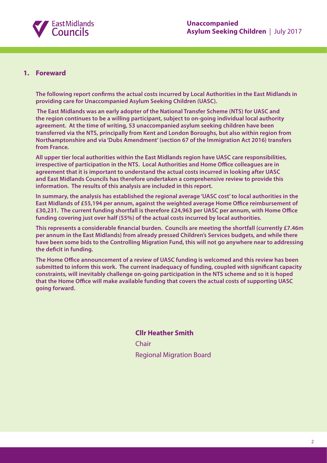

#### **1. Foreward**

**The following report confirms the actual costs incurred by Local Authorities in the East Midlands in providing care for Unaccompanied Asylum Seeking Children (UASC).**

 **The East Midlands was an early adopter of the National Transfer Scheme (NTS) for UASC and the region continues to be a willing participant, subject to on-going individual local authority agreement. At the time of writing, 53 unaccompanied asylum seeking children have been transferred via the NTS, principally from Kent and London Boroughs, but also within region from Northamptonshire and via 'Dubs Amendment' (section 67 of the Immigration Act 2016) transfers from France.**

**All upper tier local authorities within the East Midlands region have UASC care responsibilities, irrespective of participation in the NTS. Local Authorities and Home Office colleagues are in agreement that it is important to understand the actual costs incurred in looking after UASC and East Midlands Councils has therefore undertaken a comprehensive review to provide this information. The results of this analysis are included in this report.**

**In summary, the analysis has established the regional average 'UASC cost' to local authorities in the East Midlands of £55,194 per annum, against the weighted average Home Office reimbursement of £30,231. The current funding shortfall is therefore £24,963 per UASC per annum, with Home Office funding covering just over half (55%) of the actual costs incurred by local authorities.**

**This represents a considerable financial burden. Councils are meeting the shortfall (currently £7.46m per annum in the East Midlands) from already pressed Children's Services budgets, and while there have been some bids to the Controlling Migration Fund, this will not go anywhere near to addressing the deficit in funding.**

**The Home Office announcement of a review of UASC funding is welcomed and this review has been submitted to inform this work. The current inadequacy of funding, coupled with significant capacity constraints, will inevitably challenge on-going participation in the NTS scheme and so it is hoped that the Home Office will make available funding that covers the actual costs of supporting UASC going forward.**

> **Cllr Heather Smith** Chair Regional Migration Board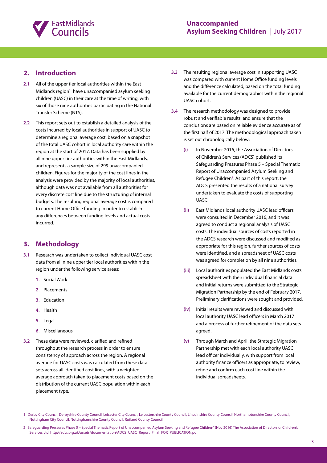

# **2. Introduction**

- **2.1** All of the upper tier local authorities within the East Midlands region**<sup>1</sup>** have unaccompanied asylum seeking children (UASC) in their care at the time of writing, with six of those nine authorities participating in the National Transfer Scheme (NTS).
- **2.2** This report sets out to establish a detailed analysis of the costs incurred by local authorities in support of UASC to determine a regional average cost, based on a snapshot of the total UASC cohort in local authority care within the region at the start of 2017. Data has been supplied by all nine upper tier authorities within the East Midlands, and represents a sample size of 299 unaccompanied children. Figures for the majority of the cost lines in the analysis were provided by the majority of local authorities, although data was not available from all authorities for every discrete cost line due to the structuring of internal budgets. The resulting regional average cost is compared to current Home Office funding in order to establish any differences between funding levels and actual costs incurred.

# **3. Methodology**

- **3.1** Research was undertaken to collect individual UASC cost data from all nine upper tier local authorities within the region under the following service areas:
	- **1.** Social Work
	- **2.** Placements
	- **3.** Education
	- **4.** Health
	- **5.** Legal
	- **6.** Miscellaneous
- **3.2** These data were reviewed, clarified and refined throughout the research process in order to ensure consistency of approach across the region. A regional average for UASC costs was calculated from these data sets across all identified cost lines, with a weighted average approach taken to placement costs based on the distribution of the current UASC population within each placement type.
- **3.3** The resulting regional average cost in supporting UASC was compared with current Home Office funding levels and the difference calculated, based on the total funding available for the current demographics within the regional UASC cohort.
- **3.4** The research methodology was designed to provide robust and verifiable results, and ensure that the conclusions are based on reliable evidence accurate as of the first half of 2017. The methodological approach taken is set out chronologically below:
	- **(i)** In November 2016, the Association of Directors of Children's Services (ADCS) published its Safeguarding Pressures Phase 5 – Special Thematic Report of Unaccompanied Asylum Seeking and Refugee Children**<sup>2</sup>** . As part of this report, the ADCS presented the results of a national survey undertaken to evaluate the costs of supporting UASC.
	- **(ii)** East Midlands local authority UASC lead officers were consulted in December 2016, and it was agreed to conduct a regional analysis of UASC costs. The individual sources of costs reported in the ADCS research were discussed and modified as appropriate for this region, further sources of costs were identified, and a spreadsheet of UASC costs was agreed for completion by all nine authorities.
	- **(iii)** Local authorities populated the East Midlands costs spreadsheet with their individual financial data and initial returns were submitted to the Strategic Migration Partnership by the end of February 2017. Preliminary clarifications were sought and provided.
	- **(iv)** Initial results were reviewed and discussed with local authority UASC lead officers in March 2017 and a process of further refinement of the data sets agreed.
	- **(v)** Through March and April, the Strategic Migration Partnership met with each local authority UASC lead officer individually, with support from local authority finance officers as appropriate, to review, refine and confirm each cost line within the individual spreadsheets.

2 Safeguarding Pressures Phase 5 – Special Thematic Report of Unaccompanied Asylum Seeking and Refugee Children" (Nov 2016) The Association of Directors of Children's Services Ltd. http://adcs.org.uk/assets/documentation/ADCS\_UASC\_Report\_Final\_FOR\_PUBLICATION.pdf

<sup>1</sup> Derby City Council, Derbyshire County Council, Leicester City Council, Leicestershire County Council, Lincolnshire County Council, Northamptonshire County Council, Nottingham City Council, Nottinghamshire County Council, Rutland County Council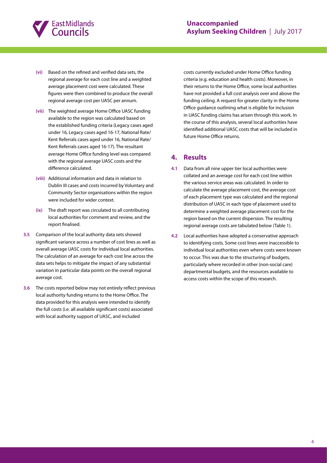

- **(vi)** Based on the refined and verified data sets, the regional average for each cost line and a weighted average placement cost were calculated. These figures were then combined to produce the overall regional average cost per UASC per annum.
- **(vii)** The weighted average Home Office UASC funding available to the region was calculated based on the established funding criteria (Legacy cases aged under 16, Legacy cases aged 16-17, National Rate/ Kent Referrals cases aged under 16, National Rate/ Kent Referrals cases aged 16-17). The resultant average Home Office funding level was compared with the regional average UASC costs and the difference calculated.
- **(viii)** Additional information and data in relation to Dublin III cases and costs incurred by Voluntary and Community Sector organisations within the region were included for wider context.
- **(ix)** The draft report was circulated to all contributing local authorities for comment and review, and the report finalised.
- **3.5** Comparison of the local authority data sets showed significant variance across a number of cost lines as well as overall average UASC costs for individual local authorities. The calculation of an average for each cost line across the data sets helps to mitigate the impact of any substantial variation in particular data points on the overall regional average cost.
- **3.6** The costs reported below may not entirely reflect previous local authority funding returns to the Home Office. The data provided for this analysis were intended to identify the full costs (i.e. all available significant costs) associated with local authority support of UASC, and included

costs currently excluded under Home Office funding criteria (e.g. education and health costs). Moreover, in their returns to the Home Office, some local authorities have not provided a full cost analysis over and above the funding ceiling. A request for greater clarity in the Home Office guidance outlining what is eligible for inclusion in UASC funding claims has arisen through this work. In the course of this analysis, several local authorities have identified additional UASC costs that will be included in future Home Office returns.

# **4. Results**

- **4.1** Data from all nine upper tier local authorities were collated and an average cost for each cost line within the various service areas was calculated. In order to calculate the average placement cost, the average cost of each placement type was calculated and the regional distribution of UASC in each type of placement used to determine a weighted average placement cost for the region based on the current dispersion. The resulting regional average costs are tabulated below (Table 1).
- **4.2** Local authorities have adopted a conservative approach to identifying costs. Some cost lines were inaccessible to individual local authorities even where costs were known to occur. This was due to the structuring of budgets, particularly where recorded in other (non-social care) departmental budgets, and the resources available to access costs within the scope of this research.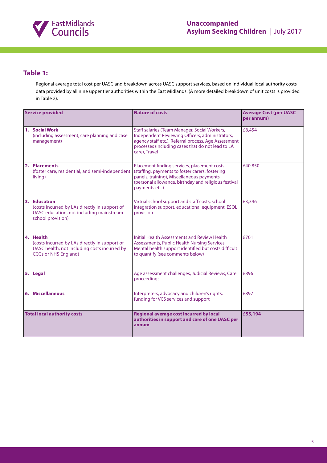

# **Table 1:**

Regional average total cost per UASC and breakdown across UASC support services, based on individual local authority costs data provided by all nine upper tier authorities within the East Midlands. (A more detailed breakdown of unit costs is provided in Table 2).

| <b>Service provided</b>                                                                                                                   | <b>Nature of costs</b>                                                                                                                                                                                                         | <b>Average Cost (per UASC</b><br>per annum) |
|-------------------------------------------------------------------------------------------------------------------------------------------|--------------------------------------------------------------------------------------------------------------------------------------------------------------------------------------------------------------------------------|---------------------------------------------|
| 1. Social Work<br>(including assessment, care planning and case<br>management)                                                            | Staff salaries (Team Manager, Social Workers,<br>Independent Reviewing Officers, administrators,<br>agency staff etc.), Referral process, Age Assessment<br>processes (including cases that do not lead to LA<br>care), Travel | £8,454                                      |
| 2. Placements<br>(foster care, residential, and semi-independent<br>living)                                                               | Placement finding services, placement costs<br>(staffing, payments to foster carers, fostering<br>panels, training), Miscellaneous payments<br>(personal allowance, birthday and religious festival<br>payments etc.)          | £40,850                                     |
| 3. Education<br>(costs incurred by LAs directly in support of<br>UASC education, not including mainstream<br>school provision)            | Virtual school support and staff costs, school<br>integration support, educational equipment, ESOL<br>provision                                                                                                                | £3,396                                      |
| 4. Health<br>(costs incurred by LAs directly in support of<br>UASC health, not including costs incurred by<br><b>CCGs or NHS England)</b> | Initial Health Assessments and Review Health<br>Assessments, Public Health Nursing Services,<br>Mental health support identified but costs difficult<br>to quantify (see comments below)                                       | £701                                        |
| 5. Legal                                                                                                                                  | Age assessment challenges, Judicial Reviews, Care<br>proceedings                                                                                                                                                               | £896                                        |
| 6. Miscellaneous                                                                                                                          | Interpreters, advocacy and children's rights,<br>funding for VCS services and support                                                                                                                                          | £897                                        |
| <b>Total local authority costs</b>                                                                                                        | <b>Regional average cost incurred by local</b><br>authorities in support and care of one UASC per<br>annum                                                                                                                     | £55,194                                     |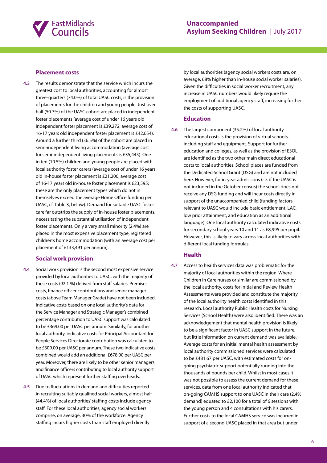

#### **Placement costs**

**4.3** The results demonstrate that the service which incurs the greatest cost to local authorities, accounting for almost three-quarters (74.0%) of total UASC costs, is the provision of placements for the children and young people. Just over half (50.7%) of the UASC cohort are placed in independent foster placements (average cost of under 16 years old independent foster placement is £39,272; average cost of 16-17 years old independent foster placement is £42,654). Around a further third (36.5%) of the cohort are placed in semi-independent living accommodation (average cost for semi-independent living placements is £35,445). One in ten (10.5%) children and young people are placed with local authority foster carers (average cost of under 16 years old in-house foster placement is £21,200; average cost of 16-17 years old in-house foster placement is £23,595; these are the only placement types which do not in themselves exceed the average Home Office funding per UASC, cf. Table 3, below). Demand for suitable UASC foster care far outstrips the supply of in-house foster placements, necessitating the substantial utilisation of independent foster placements. Only a very small minority (2.4%) are placed in the most expensive placement type, registered children's home accommodation (with an average cost per placement of £133,491 per annum).

#### **Social work provision**

- **4.4** Social work provision is the second most expensive service provided by local authorities to UASC, with the majority of these costs (92.1 %) derived from staff salaries. Premises costs, finance officer contributions and senior manager costs (above Team Manager Grade) have not been included. Indicative costs based on one local authority's data for the Service Manager and Strategic Manager's combined percentage contribution to UASC support was calculated to be £369.00 per UASC per annum. Similarly, for another local authority, indicative costs for Principal Accountant for People Services Directorate contribution was calculated to be £309.00 per UASC per annum. These two indicative costs combined would add an additional £678.00 per UASC per year. Moreover, there are likely to be other senior managers and finance officers contributing to local authority support of UASC which represent further staffing overheads.
- **4.5** Due to fluctuations in demand and difficulties reported in recruiting suitably qualified social workers, almost half (44.4%) of local authorities' staffing costs include agency staff. For these local authorities, agency social workers comprise, on average, 30% of the workforce. Agency staffing incurs higher costs than staff employed directly

by local authorities (agency social workers costs are, on average, 68% higher than in-house social worker salaries). Given the difficulties in social worker recruitment, any increase in UASC numbers would likely require the employment of additional agency staff, increasing further the costs of supporting UASC.

#### **Education**

**4.6** The largest component (35.2%) of local authority educational costs is the provision of virtual schools, including staff and equipment. Support for further education and colleges, as well as the provision of ESOL are identified as the two other main direct educational costs to local authorities. School places are funded from the Dedicated School Grant (DSG) and are not included here. However, for in-year admissions (i.e. if the UASC is not included in the October census) the school does not receive any DSG funding and will incur costs directly in support of the unaccompanied child (funding factors relevant to UASC would include basic entitlement, LAC, low prior attainment, and education as an additional language). One local authority calculated indicative costs for secondary school years 10 and 11 as £8,995 per pupil. However, this is likely to vary across local authorities with different local funding formulas.

#### **Health**

**4.7** Access to health services data was problematic for the majority of local authorities within the region. Where Children in Care nurses or similar are commissioned by the local authority, costs for Initial and Review Health Assessments were provided and constitute the majority of the local authority health costs identified in this research. Local authority Public Health costs for Nursing Services (School Health) were also identified. There was an acknowledgement that mental health provision is likely to be a significant factor in UASC support in the future, but little information on current demand was available. Average costs for an initial mental health assessment by local authority commissioned services were calculated to be £481.67 per UASC, with estimated costs for ongoing psychiatric support potentially running into the thousands of pounds per child. Whilst in most cases it was not possible to assess the current demand for these services, data from one local authority indicated that on-going CAMHS support to one UASC in their care (2.4% demand) equated to £2,100 for a total of 6 sessions with the young person and 4 consultations with his carers. Further costs to the local CAMHS service was incurred in support of a second UASC placed in that area but under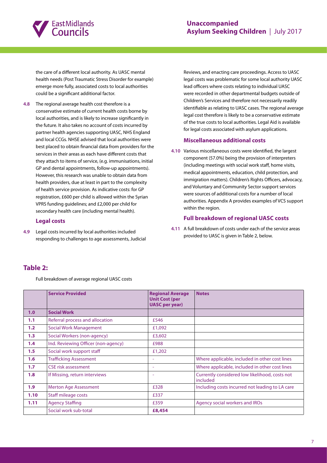

the care of a different local authority. As UASC mental health needs (Post Traumatic Stress Disorder for example) emerge more fully, associated costs to local authorities could be a significant additional factor.

**4.8** The regional average health cost therefore is a conservative estimate of current health costs borne by local authorities, and is likely to increase significantly in the future. It also takes no account of costs incurred by partner health agencies supporting UASC, NHS England and local CCGs. NHSE advised that local authorities were best placed to obtain financial data from providers for the services in their areas as each have different costs that they attach to items of service, (e.g. immunisations, initial GP and dental appointments, follow-up appointments). However, this research was unable to obtain data from health providers, due at least in part to the complexity of health service provision. As indicative costs: for GP registration, £600 per child is allowed within the Syrian VPRS funding guidelines; and £2,000 per child for secondary health care (including mental health).

#### **Legal costs**

**4.9** Legal costs incurred by local authorities included responding to challenges to age assessments, Judicial

Reviews, and enacting care proceedings. Access to UASC legal costs was problematic for some local authority UASC lead officers where costs relating to individual UASC were recorded in other departmental budgets outside of Children's Services and therefore not necessarily readily identifiable as relating to UASC cases. The regional average legal cost therefore is likely to be a conservative estimate of the true costs to local authorities. Legal Aid is available for legal costs associated with asylum applications.

#### **Miscellaneous additional costs**

**4.10** Various miscellaneous costs were identified, the largest component (57.0%) being the provision of interpreters (including meetings with social work staff, home visits, medical appointments, education, child protection, and immigration matters). Children's Rights Officers, advocacy, and Voluntary and Community Sector support services were sources of additional costs for a number of local authorities. Appendix A provides examples of VCS support within the region.

#### **Full breakdown of regional UASC costs**

**4.11** A full breakdown of costs under each of the service areas provided to UASC is given in Table 2, below.

# **Table 2:**

Full breakdown of average regional UASC costs

|                  | <b>Service Provided</b>             | <b>Regional Average</b><br><b>Unit Cost (per</b><br><b>UASC</b> per year) | <b>Notes</b>                                               |
|------------------|-------------------------------------|---------------------------------------------------------------------------|------------------------------------------------------------|
| 1.0              | <b>Social Work</b>                  |                                                                           |                                                            |
| 1.1              | Referral process and allocation     | £546                                                                      |                                                            |
| 1.2              | Social Work Management              | £1,092                                                                    |                                                            |
| 1.3              | Social Workers (non-agency)         | £3,602                                                                    |                                                            |
| 1.4              | Ind. Reviewing Officer (non-agency) | £988                                                                      |                                                            |
| 1.5              | Social work support staff           | £1,202                                                                    |                                                            |
| 1.6              | <b>Trafficking Assessment</b>       |                                                                           | Where applicable, included in other cost lines             |
| 1.7 <sub>z</sub> | <b>CSE risk assessment</b>          | ٠                                                                         | Where applicable, included in other cost lines             |
| 1.8              | If Missing, return interviews       |                                                                           | Currently considered low likelihood, costs not<br>included |
| 1.9 <sub>2</sub> | <b>Merton Age Assessment</b>        | £328                                                                      | Including costs incurred not leading to LA care            |
| 1.10             | Staff mileage costs                 | £337                                                                      |                                                            |
| 1.11             | <b>Agency Staffing</b>              | £359                                                                      | Agency social workers and IROs                             |
|                  | Social work sub-total               | £8,454                                                                    |                                                            |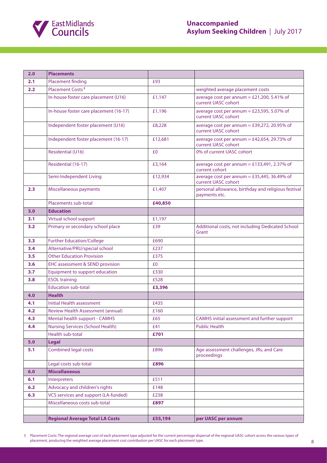

| 2.0 | <b>Placements</b>                        |         |                                                                      |
|-----|------------------------------------------|---------|----------------------------------------------------------------------|
| 2.1 | <b>Placement finding</b>                 | £93     |                                                                      |
| 2.2 | Placement Costs <sup>3</sup>             |         | weighted average placement costs                                     |
|     | In-house foster care placement (U16)     | £1,147  | average cost per annum = $£21,200,5.41%$ of<br>current UASC cohort   |
|     | In-house foster care placement (16-17)   | £1,196  | average cost per annum = $£23,595, 5.07%$ of<br>current UASC cohort  |
|     | Independent foster placement (U16)       | £8,228  | average cost per annum = $£39,272,20.95%$ of<br>current UASC cohort  |
|     | Independent foster placement (16-17)     | £12,681 | average cost per annum = £42,654, 29.73% of<br>current UASC cohort   |
|     | Residential (U16)                        | £0      | 0% of current UASC cohort                                            |
|     | Residential (16-17)                      | £3,164  | average cost per annum = $£133,491, 2.37%$ of<br>current cohort      |
|     | Semi-Independent Living                  | £12,934 | average cost per annum = $£35,445,36.49%$ of<br>current UASC cohort  |
| 2.3 | Miscellaneous payments                   | £1,407  | personal allowance, birthday and religious festival<br>payments etc. |
|     | Placements sub-total                     | £40,850 |                                                                      |
| 3.0 | <b>Education</b>                         |         |                                                                      |
| 3.1 | Virtual school support                   | £1,197  |                                                                      |
| 3.2 | Primary or secondary school place        | £39     | Additional costs, not including Dedicated School<br>Grant            |
| 3.3 | <b>Further Education/College</b>         | £690    |                                                                      |
| 3.4 | Alternative/PRU/special school           | £237    |                                                                      |
| 3.5 | <b>Other Education Provision</b>         | £375    |                                                                      |
| 3.6 | EHC assessment & SEND provision          | £0      |                                                                      |
| 3.7 | Equipment to support education           | £330    |                                                                      |
| 3.8 | <b>ESOL training</b>                     | £528    |                                                                      |
|     | <b>Education sub-total</b>               | £3,396  |                                                                      |
| 4.0 | <b>Health</b>                            |         |                                                                      |
| 4.1 | <b>Initial Health assessment</b>         | £435    |                                                                      |
| 4.2 | <b>Review Health Assessment (annual)</b> | £160    |                                                                      |
| 4.3 | Mental health support - CAMHS            | £65     | CAMHS initial assessment and further support                         |
| 4.4 | Nursing Services (School Health)         | £41     | <b>Public Health</b>                                                 |
|     | Health sub-total                         | £701    |                                                                      |
| 5.0 | <b>Legal</b>                             |         |                                                                      |
| 5.1 | <b>Combined legal costs</b>              | £896    | Age assessment challenges, JRs, and Care<br>proceedings              |
|     | Legal costs sub-total                    | £896    |                                                                      |
| 6.0 | <b>Miscellaneous</b>                     |         |                                                                      |
| 6.1 | Interpreters                             | £511    |                                                                      |
| 6.2 | Advocacy and children's rights           | £148    |                                                                      |
| 6.3 | VCS services and support (LA-funded)     | £238    |                                                                      |
|     | Miscellaneous costs sub-total            | £897    |                                                                      |
|     |                                          |         |                                                                      |
|     | <b>Regional Average Total LA Costs</b>   | £55,194 | per UASC per annum                                                   |

3 Placement Costs: The regional average cost of each placement type adjusted for the current percentage dispersal of the regional UASC cohort across the various types of placement, producing the weighted average placement cost contribution per UASC for each placement type.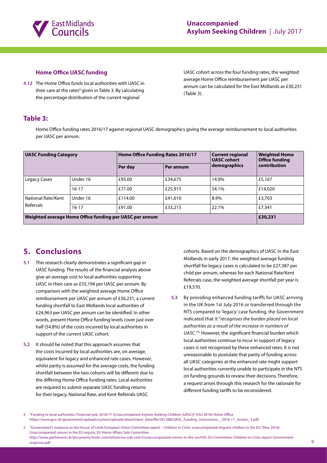

#### **Home Office UASC funding**

**4.12** The Home Office funds local authorities with UASC in their care at the rates**<sup>4</sup>** given in Table 3. By calculating the percentage distribution of the current regional

UASC cohort across the four funding rates, the weighted average Home Office reimbursement per UASC per annum can be calculated for the East Midlands as £30,231 (Table 3).

# **Table 3:**

Home Office funding rates 2016/17 against regional UASC demographics giving the average reimbursement to local authorities per UASC per annum.

| <b>UASC Funding Category</b>                            |           | Home Office Funding Rates 2016/17 |           | <b>Current regional</b><br><b>UASC</b> cohort | <b>Weighted Home</b><br><b>Office funding</b> |
|---------------------------------------------------------|-----------|-----------------------------------|-----------|-----------------------------------------------|-----------------------------------------------|
|                                                         |           | Per day                           | Per annum | demographics                                  | contribution                                  |
| Legacy Cases                                            | Under 16  | £95.00                            | £34,675   | 14.9%                                         | £5,167                                        |
|                                                         | $16 - 17$ | £71.00                            | £25,915   | 54.1%                                         | £14,020                                       |
| National Rate/Kent                                      | Under 16  | £114.00                           | £41,610   | 8.9%                                          | £3,703                                        |
| Referrals                                               | $16 - 17$ | £91.00                            | £33,215   | 22.1%                                         | £7,341                                        |
| Weighted average Home Office funding per UASC per annum |           |                                   |           |                                               | £30,231                                       |

# **5. Conclusions**

- **5.1** This research clearly demonstrates a significant gap in UASC funding. The results of the financial analysis above give an average cost to local authorities supporting UASC in their care as £55,194 per UASC per annum. By comparison with the weighted average Home Office reimbursement per UASC per annum of £30,231, a current funding shortfall to East Midlands local authorities of £24,963 per UASC per annum can be identified. In other words, present Home Office funding levels cover just over half (54.8%) of the costs incurred by local authorities in support of the current UASC cohort.
- **5.2** It should be noted that this approach assumes that the costs incurred by local authorities are, on average, equivalent for legacy and enhanced rate cases. However, whilst parity is assumed for the average costs, the funding shortfall between the two cohorts will be different due to the differing Home Office funding rates. Local authorities are required to submit separate UASC funding returns for their legacy, National Rate, and Kent Referrals UASC

cohorts. Based on the demographics of UASC in the East Midlands in early 2017, the weighted average funding shortfall for legacy cases is calculated to be £27,387 per child per annum, whereas for each National Rate/Kent Referrals case, the weighted average shortfall per year is £19,570.

**5.3** By providing enhanced funding tariffs for UASC arriving in the UK from 1st July 2016 or transferred through the NTS compared to 'legacy' case funding, the Government indicated that it "*recognises the burden placed on local authorities as a result of the increase in numbers of UASC.*"**<sup>5</sup>**However, the significant financial burden which local authorities continue to incur in support of legacy cases is not recognised by these enhanced rates. It is not unreasonable to postulate that parity of funding across all UASC categories at the enhanced rate might support local authorities currently unable to participate in the NTS on funding grounds to review their decisions. Therefore, a request arises through this research for the rationale for different funding tariffs to be reconsidered.

<sup>4</sup> "Funding to local authorities: Financial year 2016/17 (Unaccompanied Asylum Seeking Children (UASC))" (Oct 2016) Home Office [https://www.gov.uk/government/uploads/system/uploads/attachment\\_data/file/561388/UASC\\_Funding\\_Instructions\\_\\_2016-17\\_version\\_3.pdf](http://https://www.gov.uk/government/uploads/system/uploads/attachment_data/file/561388/UASC_Funding_Instructions__2016-17_version_3.pdf)

<sup>5</sup> "Government's response to the House of Lords European Union Committee report – Children in Crisis: unaccompanied migrant children in the EU" (Nov 2016) Unaccompanied minors in the EU inquiry, EU Home Affairs Sub-Committee. [http://www.parliament.uk/documents/lords-committees/eu-sub-com-f/unaccompanied-minors-in-the-eu/HOL-EU-Committee-Children-in-Crisis-report-Government](http://http://www.parliament.uk/documents/lords-committees/eu-sub-com-f/unaccompanied-minors-in-the-eu/HOL-EU-Committee-Children-in-Crisis-report-Government-response.pdf)[response.pdf](http://http://www.parliament.uk/documents/lords-committees/eu-sub-com-f/unaccompanied-minors-in-the-eu/HOL-EU-Committee-Children-in-Crisis-report-Government-response.pdf) 9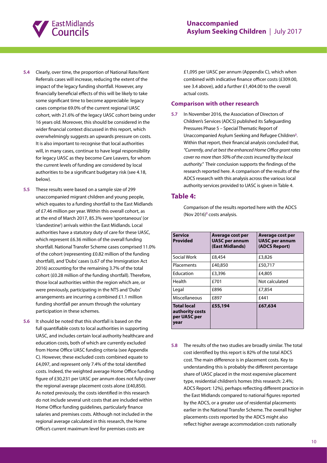

- **5.4** Clearly, over time, the proportion of National Rate/Kent Referrals cases will increase, reducing the extent of the impact of the legacy funding shortfall. However, any financially beneficial effects of this will be likely to take some significant time to become appreciable: legacy cases comprise 69.0% of the current regional UASC cohort, with 21.6% of the legacy UASC cohort being under 16 years old. Moreover, this should be considered in the wider financial context discussed in this report, which overwhelmingly suggests an upwards pressure on costs. It is also important to recognise that local authorities will, in many cases, continue to have legal responsibility for legacy UASC as they become Care Leavers, for whom the current levels of funding are considered by local authorities to be a significant budgetary risk (see 4.18, below).
- **5.5** These results were based on a sample size of 299 unaccompanied migrant children and young people, which equates to a funding shortfall to the East Midlands of £7.46 million per year. Within this overall cohort, as at the end of March 2017, 85.3% were 'spontaneous' (or 'clandestine') arrivals within the East Midlands. Local authorities have a statutory duty of care for these UASC, which represent £6.36 million of the overall funding shortfall. National Transfer Scheme cases comprised 11.0% of the cohort (representing £0.82 million of the funding shortfall), and 'Dubs' cases (s.67 of the Immigration Act 2016) accounting for the remaining 3.7% of the total cohort (£0.28 million of the funding shortfall). Therefore, those local authorities within the region which are, or were previously, participating in the NTS and 'Dubs' arrangements are incurring a combined £1.1 million funding shortfall per annum through the voluntary participation in these schemes.
- **5.6** It should be noted that this shortfall is based on the full quantifiable costs to local authorities in supporting UASC, and includes certain local authority healthcare and education costs, both of which are currently excluded from Home Office UASC funding criteria (see Appendix C). However, these excluded costs combined equate to £4,097, and represent only 7.4% of the total identified costs. Indeed, the weighted average Home Office funding figure of £30,231 per UASC per annum does not fully cover the regional average placement costs alone (£40,850). As noted previously, the costs identified in this research do not include several unit costs that are included within Home Office funding guidelines, particularly finance salaries and premises costs. Although not included in the regional average calculated in this research, the Home Office's current maximum level for premises costs are

£1,095 per UASC per annum (Appendix C), which when combined with indicative finance officer costs (£309.00, see 3.4 above), add a further £1,404.00 to the overall actual costs.

#### **Comparison with other research**

**5.7** In November 2016, the Association of Directors of Children's Services (ADCS) published its Safeguarding Pressures Phase 5 – Special Thematic Report of Unaccompanied Asylum Seeking and Refugee Children**<sup>2</sup>** . Within that report, their financial analysis concluded that, *"Currently, and at best the enhanced Home Office grant rates cover no more than 50% of the costs incurred by the local authority."* Their conclusion supports the findings of the research reported here. A comparison of the results of the ADCS research with this analysis across the various local authority services provided to UASC is given in Table 4.

#### **Table 4:**

Comparison of the results reported here with the ADCS (Nov 2016)**<sup>2</sup>** costs analysis.

| <b>Service</b><br>Provided                                    | Average cost per<br><b>UASC per annum</b><br>(East Midlands) | Average cost per<br><b>UASC per annum</b><br>(ADCS Report) |
|---------------------------------------------------------------|--------------------------------------------------------------|------------------------------------------------------------|
| Social Work                                                   | £8.454                                                       | £3,826                                                     |
| Placements                                                    | £40,850                                                      | £50,717                                                    |
| Education                                                     | £3,396                                                       | £4,805                                                     |
| Health                                                        | £701                                                         | Not calculated                                             |
| Legal                                                         | £896                                                         | £7,854                                                     |
| Miscellaneous                                                 | £897                                                         | f441                                                       |
| <b>Total local</b><br>authority costs<br>per UASC per<br>year | £55,194                                                      | £67,634                                                    |

**5.8** The results of the two studies are broadly similar. The total cost identified by this report is 82% of the total ADCS cost. The main difference is in placement costs. Key to understanding this is probably the different percentage share of UASC placed in the most expensive placement type, residential children's homes (this research: 2.4%; ADCS Report: 12%), perhaps reflecting different practice in the East Midlands compared to national figures reported by the ADCS, or a greater use of residential placements earlier in the National Transfer Scheme. The overall higher placements costs reported by the ADCS might also reflect higher average accommodation costs nationally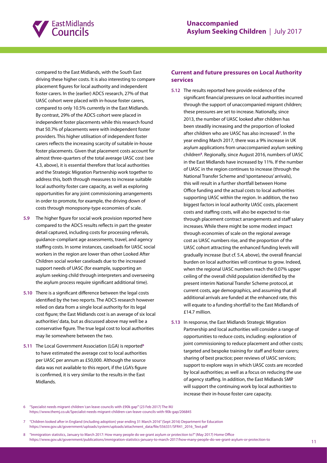

compared to the East Midlands, with the South East driving these higher costs. It is also interesting to compare placement figures for local authority and independent foster carers. In the (earlier) ADCS research, 27% of that UASC cohort were placed with in-house foster carers, compared to only 10.5% currently in the East Midlands. By contrast, 29% of the ADCS cohort were placed in independent foster placements while this research found that 50.7% of placements were with independent foster providers. This higher utilisation of independent foster carers reflects the increasing scarcity of suitable in-house foster placements. Given that placement costs account for almost three-quarters of the total average UASC cost (see 4.3, above), it is essential therefore that local authorities and the Strategic Migration Partnership work together to address this, both through measures to increase suitable local authority foster care capacity, as well as exploring opportunities for any joint commissioning arrangements in order to promote, for example, the driving down of costs through monopsony-type economies of scale.

- **5.9** The higher figure for social work provision reported here compared to the ADCS results reflects in part the greater detail captured, including costs for processing referrals, guidance-compliant age assessments, travel, and agency staffing costs. In some instances, caseloads for UASC social workers in the region are lower than other Looked After Children social worker caseloads due to the increased support needs of UASC (for example, supporting an asylum seeking child through interpreters and overseeing the asylum process require significant additional time).
- **5.10** There is a significant difference between the legal costs identified by the two reports. The ADCS research however relied on data from a single local authority for its legal cost figure; the East Midlands cost is an average of six local authorities' data, but as discussed above may well be a conservative figure. The true legal cost to local authorities may lie somewhere between the two.
- **5.11** The Local Government Association (LGA) is reported**<sup>6</sup>** to have estimated the average cost to local authorities per UASC per annum as £50,000. Although the source data was not available to this report, if the LGA's figure is confirmed, it is very similar to the results in the East Midlands.

## **Current and future pressures on Local Authority services**

- **5.12** The results reported here provide evidence of the significant financial pressures on local authorities incurred through the support of unaccompanied migrant children; these pressures are set to increase. Nationally, since 2013, the number of UASC looked after children has been steadily increasing and the proportion of looked after children who are UASC has also increased**<sup>7</sup>** . In the year ending March 2017, there was a 9% increase in UK asylum applications from unaccompanied asylum seeking children**<sup>8</sup>** . Regionally, since August 2016, numbers of UASC in the East Midlands have increased by 11%. If the number of UASC in the region continues to increase (through the National Transfer Scheme and 'spontaneous' arrivals), this will result in a further shortfall between Home Office funding and the actual costs to local authorities supporting UASC within the region. In addition, the two biggest factors in local authority UASC costs, placement costs and staffing costs, will also be expected to rise through placement contract arrangements and staff salary increases. While there might be some modest impact through economies of scale on the regional average cost as UASC numbers rise, and the proportion of the UASC cohort attracting the enhanced funding levels will gradually increase (but cf. 5.4, above), the overall financial burden on local authorities will continue to grow. Indeed, when the regional UASC numbers reach the 0.07% upper ceiling of the overall child population identified by the present interim National Transfer Scheme protocol, at current costs, age demographics, and assuming that all additional arrivals are funded at the enhanced rate, this will equate to a funding shortfall to the East Midlands of £14.7 million.
- **5.13** In response, the East Midlands Strategic Migration Partnership and local authorities will consider a range of opportunities to reduce costs, including: exploration of joint commissioning to reduce placement and other costs; targeted and bespoke training for staff and foster carers; sharing of best practice; peer reviews of UASC services; support to explore ways in which UASC costs are recorded by local authorities; as well as a focus on reducing the use of agency staffing. In addition, the East Midlands SMP will support the continuing work by local authorities to increase their in-house foster care capacity.

6 "Specialist needs migrant children 'can leave councils with £90k gap'" (23 Feb 2017) The MJ [https://www.themj.co.uk/Specialist-needs-migrant-children-can-leave-councils-with-90k-gap/206845](http://https://www.themj.co.uk/Specialist-needs-migrant-children-can-leave-councils-with-90k-gap/206845) 

<sup>7</sup> "Children looked after in England (including adoption) year ending 31 March 2016" (Sept 2016) Department for Education [https://www.gov.uk/government/uploads/system/uploads/attachment\\_data/file/556331/SFR41\\_2016\\_Text.pdf](http://https://www.gov.uk/government/uploads/system/uploads/attachment_data/file/556331/SFR41_2016_Text.pdf) 

<sup>8</sup> "Immigration statistics, January to March 2017: How many people do we grant asylum or protection to?" (May 2017) Home Office [https://www.gov.uk/government/publications/immigration-statistics-january-to-march-2017/how-many-people-do-we-grant-asylum-or-protection-to](http://https://www.gov.uk/government/publications/immigration-statistics-january-to-march-2017/how-many-people-do-we-grant-asylum-or-protection-to)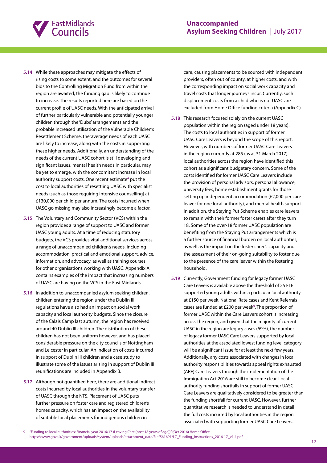

- **5.14** While these approaches may mitigate the effects of rising costs to some extent, and the outcomes for several bids to the Controlling Migration Fund from within the region are awaited, the funding gap is likely to continue to increase. The results reported here are based on the current profile of UASC needs. With the anticipated arrival of further particularly vulnerable and potentially younger children through the 'Dubs' arrangements and the probable increased utilisation of the Vulnerable Children's Resettlement Scheme, the 'average' needs of each UASC are likely to increase, along with the costs in supporting these higher needs. Additionally, an understanding of the needs of the current UASC cohort is still developing and significant issues, mental health needs in particular, may be yet to emerge, with the concomitant increase in local authority support costs. One recent estimate<sup>6</sup> put the cost to local authorities of resettling UASC with specialist needs (such as those requiring intensive counselling) at £130,000 per child per annum. The costs incurred when UASC go missing may also increasingly become a factor.
- **5.15** The Voluntary and Community Sector (VCS) within the region provides a range of support to UASC and former UASC young adults. At a time of reducing statutory budgets, the VCS provides vital additional services across a range of unaccompanied children's needs, including accommodation, practical and emotional support, advice, information, and advocacy, as well as training courses for other organisations working with UASC. Appendix A contains examples of the impact that increasing numbers of UASC are having on the VCS in the East Midlands.
- **5.16** In addition to unaccompanied asylum seeking children, children entering the region under the Dublin III regulations have also had an impact on social work capacity and local authority budgets. Since the closure of the Calais Camp last autumn, the region has received around 40 Dublin III children. The distribution of these children has not been uniform however, and has placed considerable pressure on the city councils of Nottingham and Leicester in particular. An indication of costs incurred in support of Dublin III children and a case study to illustrate some of the issues arising in support of Dublin III reunifications are included in Appendix B.
- **5.17** Although not quantified here, there are additional indirect costs incurred by local authorities in the voluntary transfer of UASC through the NTS. Placement of UASC puts further pressure on foster care and registered children's homes capacity, which has an impact on the availability of suitable local placements for indigenous children in

care, causing placements to be sourced with independent providers, often out of county, at higher costs, and with the corresponding impact on social work capacity and travel costs that longer journeys incur. Currently, such displacement costs from a child who is not UASC are excluded from Home Office funding criteria (Appendix C).

- **5.18** This research focused solely on the current UASC population within the region (aged under 18 years). The costs to local authorities in support of former UASC Care Leavers is beyond the scope of this report. However, with numbers of former UASC Care Leavers in the region currently at 285 (as at 31 March 2017), local authorities across the region have identified this cohort as a significant budgetary concern. Some of the costs identified for former UASC Care Leavers include the provision of personal advisors, personal allowance, university fees, home establishment grants for those setting up independent accommodation (£2,000 per care leaver for one local authority), and mental health support. In addition, the Staying Put Scheme enables care leavers to remain with their former foster carers after they turn 18. Some of the over-18 former UASC population are benefiting from the Staying Put arrangements which is a further source of financial burden on local authorities, as well as the impact on the foster carer's capacity and the assessment of their on-going suitability to foster due to the presence of the care leaver within the fostering household.
- **5.19** Currently, Government funding for legacy former UASC Care Leavers is available above the threshold of 25 FTE supported young adults within a particular local authority at £150 per week. National Rate cases and Kent Referrals cases are funded at £200 per week**<sup>9</sup>** . The proportion of former UASC within the Care Leavers cohort is increasing across the region, and given that the majority of current UASC in the region are legacy cases (69%), the number of legacy former UASC Care Leavers supported by local authorities at the associated lowest funding level category will be a significant issue for at least the next few years. Additionally, any costs associated with changes in local authority responsibilities towards appeal rights exhausted (ARE) Care Leavers through the implementation of the Immigration Act 2016 are still to become clear. Local authority funding shortfalls in support of former UASC Care Leavers are qualitatively considered to be greater than the funding shortfall for current UASC. However, further quantitative research is needed to understand in detail the full costs incurred by local authorities in the region associated with supporting former UASC Care Leavers.

9 "Funding to local authorities: Financial year 2016/17 (Leaving Care (post 18 years of age))" (Oct 2016) Home Office [https://www.gov.uk/government/uploads/system/uploads/attachment\\_data/file/561691/LC\\_Funding\\_Instructions\\_2016-17\\_v1.4.pdf](http://https://www.gov.uk/government/uploads/system/uploads/attachment_data/file/561691/LC_Funding_Instructions_2016-17_v1.4.pdf)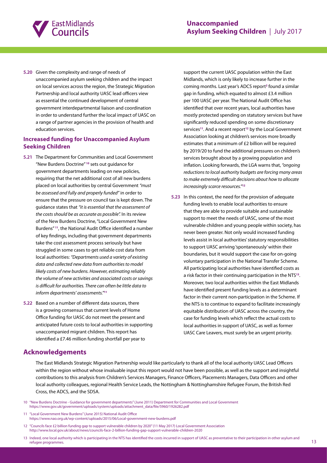

**5.20** Given the complexity and range of needs of unaccompanied asylum seeking children and the impact on local services across the region, the Strategic Migration Partnership and local authority UASC lead officers view as essential the continued development of central government interdepartmental liaison and coordination in order to understand further the local impact of UASC on a range of partner agencies in the provision of health and education services.

#### **Increased funding for Unaccompanied Asylum Seeking Children**

- **5.21** The Department for Communities and Local Government "New Burdens Doctrine" **<sup>10</sup>** sets out guidance for government departments leading on new policies, requiring that the net additional cost of all new burdens placed on local authorities by central Government *"must be assessed and fully and properly funded"* in order to ensure that the pressure on council tax is kept down. The guidance states that *"it is essential that the assessment of the costs should be as accurate as possible".* In its review of the New Burdens Doctrine, "Local Government New Burdens" **<sup>11</sup>**, the National Audit Office identified a number of key findings, including that government departments take the cost assessment process seriously but have struggled in some cases to get reliable cost data from local authorities: *"Departments used a variety of existing data and collected new data from authorities to model likely costs of new burdens. However, estimating reliably the volume of new activities and associated costs or savings is difficult for authorities. There can often be little data to inform departments' assessments."***<sup>11</sup>**
- **5.22** Based on a number of different data sources, there is a growing consensus that current levels of Home Office funding for UASC do not meet the present and anticipated future costs to local authorities in supporting unaccompanied migrant children. This report has identified a £7.46 million funding shortfall per year to

support the current UASC population within the East Midlands, which is only likely to increase further in the coming months. Last year's ADCS report**<sup>2</sup>** found a similar gap in funding, which equated to almost £3.4 million per 100 UASC per year. The National Audit Office has identified that over recent years, local authorities have mostly protected spending on statutory services but have significantly reduced spending on some discretionary services**<sup>11</sup>**. And a recent report**<sup>12</sup>** by the Local Government Association looking at children's services more broadly estimates that a minimum of £2 billion will be required by 2019/20 to fund the additional pressures on children's services brought about by a growing population and inflation. Looking forwards, the LGA warns that, *"ongoing reductions to local authority budgets are forcing many areas to make extremely difficult decisions about how to allocate increasingly scarce resources."***<sup>12</sup>**

**5.23** In this context, the need for the provision of adequate funding levels to enable local authorities to ensure that they are able to provide suitable and sustainable support to meet the needs of UASC, some of the most vulnerable children and young people within society, has never been greater. Not only would increased funding levels assist in local authorities' statutory responsibilities to support UASC arriving 'spontaneously' within their boundaries, but it would support the case for on-going voluntary participation in the National Transfer Scheme. All participating local authorities have identified costs as a risk factor in their continuing participation in the NTS**<sup>13</sup>**. Moreover, two local authorities within the East Midlands have identified present funding levels as a determinant factor in their current non-participation in the Scheme. If the NTS is to continue to expand to facilitate increasingly equitable distribution of UASC across the country, the case for funding levels which reflect the actual costs to local authorities in support of UASC, as well as former UASC Care Leavers, must surely be an urgent priority.

# **Acknowledgements**

The East Midlands Strategic Migration Partnership would like particularly to thank all of the local authority UASC Lead Officers within the region without whose invaluable input this report would not have been possible, as well as the support and insightful contributions to this analysis from Children's Services Managers, Finance Officers, Placements Managers, Data Officers and other local authority colleagues, regional Health Service Leads, the Nottingham & Nottinghamshire Refugee Forum, the British Red Cross, the ADCS, and the SDSA.

- 11 "Local Government New Burdens" (June 2015) National Audit Office [https://www.nao.org.uk/wp-content/uploads/2015/06/Local-government-new-burdens.pdf](http://https://www.nao.org.uk/wp-content/uploads/2015/06/Local-government-new-burdens.pdf)
- 12 "Councils face £2 billion funding gap to support vulnerable children by 2020" (11 May 2017) Local Government Association [http://www.local.gov.uk/about/news/councils-face-2-billion-funding-gap-support-vulnerable-children-2020](http://http://www.local.gov.uk/about/news/councils-face-2-billion-funding-gap-support-vulnerable-children-2020)

<sup>10</sup> "New Burdens Doctrine - Guidance for government departments" (June 2011) Department for Communities and Local Government [https://www.gov.uk/government/uploads/system/uploads/attachment\\_data/file/5960/1926282.pdf](http://https://www.gov.uk/government/uploads/system/uploads/attachment_data/file/5960/1926282.pdf) 

<sup>13</sup> Indeed, one local authority which is participating in the NTS has identified the costs incurred in support of UASC as preventative to their participation in other asylum and refugee programmes.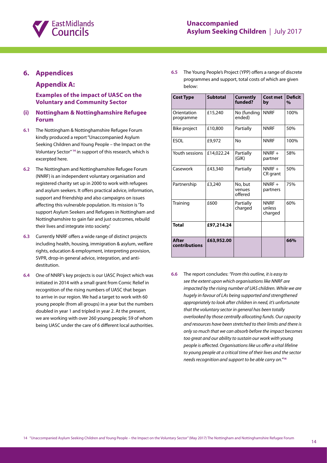

# **6. Appendices**

## **Appendix A:**

**Examples of the impact of UASC on the Voluntary and Community Sector**

#### **(i) Nottingham & Nottinghamshire Refugee Forum**

- **6.1** The Nottingham & Nottinghamshire Refugee Forum kindly produced a report "Unaccompanied Asylum Seeking Children and Young People – the Impact on the Voluntary Sector" **<sup>14</sup>** in support of this research, which is excerpted here.
- **6.2** The Nottingham and Nottinghamshire Refugee Forum (NNRF) is an independent voluntary organisation and registered charity set up in 2000 to work with refugees and asylum seekers. It offers practical advice, information, support and friendship and also campaigns on issues affecting this vulnerable population. Its mission is 'To support Asylum Seekers and Refugees in Nottingham and Nottinghamshire to gain fair and just outcomes, rebuild their lives and integrate into society.'
- **6.3** Currently NNRF offers a wide range of distinct projects including health, housing, immigration & asylum, welfare rights, education & employment, interpreting provision, SVPR, drop-in general advice, integration, and antidestitution.
- **6.4** One of NNRF's key projects is our UASC Project which was initiated in 2014 with a small grant from Comic Relief in recognition of the rising numbers of UASC that began to arrive in our region. We had a target to work with 60 young people (from all groups) in a year but the numbers doubled in year 1 and tripled in year 2. At the present, we are working with over 260 young people; 59 of whom being UASC under the care of 6 different local authorities.

**6.5** The Young People's Project (YPP) offers a range of discrete programmes and support, total costs of which are given below:

| <b>Cost Type</b>         | <b>Subtotal</b> | <b>Currently</b><br>funded?  | <b>Cost met</b><br>by            | <b>Deficit</b><br>$\%$ |
|--------------------------|-----------------|------------------------------|----------------------------------|------------------------|
| Orientation<br>programme | £15,240         | No (funding<br>ended)        | <b>NNRF</b>                      | 100%                   |
| Bike project             | £10,800         | Partially                    | <b>NNRF</b>                      | 50%                    |
| <b>ESOL</b>              | £9,972          | Nο                           | <b>NNRF</b>                      | 100%                   |
| Youth sessions           | £14,022.24      | Partially<br>(GIK)           | $NNRF +$<br>partner              | 58%                    |
| Casework                 | £43,340         | Partially                    | $NNRF +$<br>CR grant             | 50%                    |
| Partnership              | £3,240          | No, but<br>venues<br>offered | $NNRF +$<br>partners             | 75%                    |
| Training                 | £600            | Partially<br>charged         | <b>NNRF</b><br>unless<br>charged | 60%                    |
| <b>Total</b>             | £97,214.24      |                              |                                  |                        |
| After<br>contributions   | £63,952.00      |                              |                                  | 66%                    |

**6.6** The report concludes: *"From this outline, it is easy to see the extent upon which organisations like NNRF are impacted by the rising number of UAS children. While we are hugely in favour of LAs being supported and strengthened appropriately to look after children in need, it's unfortunate that the voluntary sector in general has been totally overlooked by those centrally allocating funds. Our capacity and resources have been stretched to their limits and there is only so much that we can absorb before the impact becomes too great and our ability to sustain our work with young people is affected. Organisations like us offer a vital lifeline to young people at a critical time of their lives and the sector needs recognition and support to be able carry on."***<sup>14</sup>**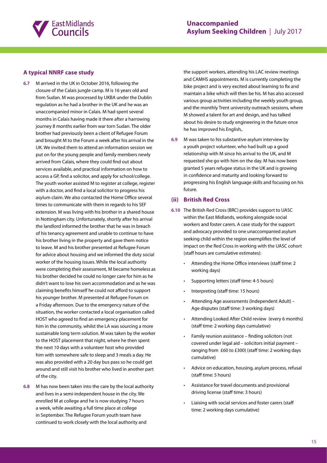

#### **A typical NNRF case study**

- **6.7** M arrived in the UK in October 2016, following the closure of the Calais jungle camp. M is 16 years old and from Sudan. M was processed by UKBA under the Dublin regulation as he had a brother in the UK and he was an unaccompanied minor in Calais. M had spent several months in Calais having made it there after a harrowing journey 8 months earlier from war torn Sudan. The older brother had previously been a client of Refugee Forum and brought M to the Forum a week after his arrival in the UK. We invited them to attend an information session we put on for the young people and family members newly arrived from Calais, where they could find out about services available, and practical information on how to access a GP, find a solicitor, and apply for school/college. The youth worker assisted M to register at college, register with a doctor, and find a local solicitor to progress his asylum claim. We also contacted the Home Office several times to communicate with them in regards to his SEF extension. M was living with his brother in a shared house in Nottingham city. Unfortunately, shortly after his arrival the landlord informed the brother that he was in breach of his tenancy agreement and unable to continue to have his brother living in the property and gave them notice to leave. M and his brother presented at Refugee Forum for advice about housing and we informed the duty social worker of the housing issues. While the local authority were completing their assessment, M became homeless as his brother decided he could no longer care for him as he didn't want to lose his own accommodation and as he was claiming benefits himself he could not afford to support his younger brother. M presented at Refugee Forum on a Friday afternoon. Due to the emergency nature of the situation, the worker contacted a local organisation called HOST who agreed to find an emergency placement for him in the community, whilst the LA was sourcing a more sustainable long term solution. M was taken by the worker to the HOST placement that night, where he then spent the next 10 days with a volunteer host who provided him with somewhere safe to sleep and 3 meals a day. He was also provided with a 20 day bus pass so he could get around and still visit his brother who lived in another part of the city.
- **6.8** M has now been taken into the care by the local authority and lives in a semi-independent house in the city. We enrolled M at college and he is now studying 7 hours a week, while awaiting a full time place at college in September. The Refugee Forum youth team have continued to work closely with the local authority and

the support workers, attending his LAC review meetings and CAMHS appointments. M is currently completing the bike project and is very excited about learning to fix and maintain a bike which will then be his. M has also accessed various group activities including the weekly youth group, and the monthly Trent university outreach sessions, where M showed a talent for art and design, and has talked about his desire to study engineering in the future once he has improved his English,.

**6.9** M was taken to his substantive asylum interview by a youth project volunteer, who had built up a good relationship with M since his arrival to the UK, and M requested she go with him on the day. M has now been granted 5 years refugee status in the UK and is growing in confidence and maturity and looking forward to progressing his English language skills and focusing on his future.

#### **(ii) British Red Cross**

- **6.10** The British Red Cross (BRC) provides support to UASC within the East Midlands, working alongside social workers and foster carers. A case study for the support and advocacy provided to one unaccompanied asylum seeking child within the region exemplifies the level of impact on the Red Cross in working with the UASC cohort (staff hours are cumulative estimates):
	- Attending the Home Office interviews (staff time: 2 working days)
	- Supporting letters (staff time: 4-5 hours)
	- Interpreting (staff time: 15 hours)
	- Attending Age assessments (Independent Adult) -Age disputes (staff time: 3 working days)
	- Attending Looked After Child review (every 6 months) (staff time: 2 working days cumulative)
	- Family reunion assistance finding solicitors (not covered under legal aid – solicitors initial payment – ranging from £60 to £300) (staff time: 2 working days cumulative)
	- Advice on education, housing, asylum process, refusal (staff time: 5 hours)
	- Assistance for travel documents and provisional driving license (staff time: 3 hours)
	- Liaising with social services and foster carers (staff time: 2 working days cumulative)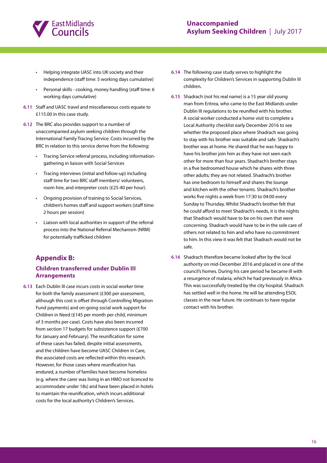

- • Helping integrate UASC into UK society and their independence (staff time: 5 working days cumulative)
- • Personal skills cooking, money handling (staff time: 6 working days cumulative)
- **6.11** Staff and UASC travel and miscellaneous costs equate to £115.00 in this case study.
- **6.12** The BRC also provides support to a number of unaccompanied asylum seeking children through the International Family Tracing Service. Costs incurred by the BRC in relation to this service derive from the following:
	- • Tracing Service referral process, including informationgathering in liaison with Social Services
	- • Tracing interviews (initial and follow-up) including staff time for two BRC staff members/ volunteers, room hire, and interpreter costs (£25-40 per hour).
	- • Ongoing provision of training to Social Services, children's homes staff and support workers (staff time: 2 hours per session)
	- Liaison with local authorities in support of the referral process into the National Referral Mechanism (NRM) for potentially trafficked children

# **Appendix B:**

## **Children transferred under Dublin III Arrangements**

**6.13** Each Dublin III case incurs costs in social worker time for both the family assessment (£300 per assessment, although this cost is offset through Controlling Migration Fund payments) and on-going social work support for Children in Need (£145 per month per child, minimum of 3 months per case). Costs have also been incurred from section 17 budgets for subsistence support (£700 for January and February). The reunification for some of these cases has failed, despite initial assessments, and the children have become UASC Children in Care, the associated costs are reflected within this research. However, for those cases where reunification has endured, a number of families have become homeless (e.g. where the carer was living in an HMO not licenced to accommodate under 18s) and have been placed in hotels to maintain the reunification, which incurs additional costs for the local authority's Children's Services.

- **6.14** The following case study serves to highlight the complexity for Children's Services in supporting Dublin III children.
- **6.15** Shadrach (not his real name) is a 15 year old young man from Eritrea, who came to the East Midlands under Dublin III regulations to be reunified with his brother. A social worker conducted a home visit to complete a Local Authority checklist early December 2016 to see whether the proposed place where Shadrach was going to stay with his brother was suitable and safe. Shadrach's brother was at home. He shared that he was happy to have his brother join him as they have not seen each other for more than four years. Shadrach's brother stays in a five bedroomed house which he shares with three other adults; they are not related. Shadrach's brother has one bedroom to himself and shares the lounge and kitchen with the other tenants. Shadrach's brother works five nights a week from 17:30 to 04:00 every Sunday to Thursday. Whilst Shadrach's brother felt that he could afford to meet Shadrach's needs, it is the nights that Shadrach would have to be on his own that were concerning. Shadrach would have to be in the sole care of others not related to him and who have no commitment to him. In this view it was felt that Shadrach would not be safe.
- **6.16** Shadrach therefore became looked after by the local authority on mid-December 2016 and placed in one of the council's homes. During his care period he became ill with a resurgence of malaria, which he had previously in Africa. This was successfully treated by the city hospital. Shadrach has settled well in the home. He will be attending ESOL classes in the near future. He continues to have regular contact with his brother.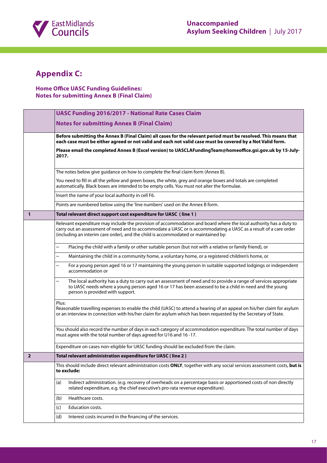

# **Appendix C:**

# **Home Office UASC Funding Guidelines: Notes for submitting Annex B (Final Claim)**

|                                                                                                                                  | <b>UASC Funding 2016/2017 - National Rate Cases Claim</b>                                                                                                                                                                                                                                                                                          |  |
|----------------------------------------------------------------------------------------------------------------------------------|----------------------------------------------------------------------------------------------------------------------------------------------------------------------------------------------------------------------------------------------------------------------------------------------------------------------------------------------------|--|
|                                                                                                                                  | <b>Notes for submitting Annex B (Final Claim)</b>                                                                                                                                                                                                                                                                                                  |  |
|                                                                                                                                  | Before submitting the Annex B (Final Claim) all cases for the relevant period must be resolved. This means that<br>each case must be either agreed or not valid and each not valid case must be covered by a Not Valid form.<br>Please email the completed Annex B (Excel version) to UASCLAFundingTeam@homeoffice.gsi.gov.uk by 15-July-<br>2017. |  |
|                                                                                                                                  |                                                                                                                                                                                                                                                                                                                                                    |  |
|                                                                                                                                  | The notes below give guidance on how to complete the final claim form (Annex B).                                                                                                                                                                                                                                                                   |  |
|                                                                                                                                  | You need to fill in all the yellow and green boxes, the white, grey and orange boxes and totals are completed<br>automatically. Black boxes are intended to be empty cells. You must not alter the formulae.                                                                                                                                       |  |
|                                                                                                                                  | Insert the name of your local authority in cell F6.                                                                                                                                                                                                                                                                                                |  |
|                                                                                                                                  | Points are numbered below using the 'line numbers' used on the Annex B form.                                                                                                                                                                                                                                                                       |  |
| 1                                                                                                                                | Total relevant direct support cost expenditure for UASC (line 1)                                                                                                                                                                                                                                                                                   |  |
|                                                                                                                                  | Relevant expenditure may include the provision of accommodation and board where the local authority has a duty to<br>carry out an assessment of need and to accommodate a UASC or is accommodating a UASC as a result of a care order<br>(including an interim care order), and the child is accommodated or maintained by:                        |  |
| Placing the child with a family or other suitable person (but not with a relative or family friend), or<br>$\tilde{\phantom{0}}$ |                                                                                                                                                                                                                                                                                                                                                    |  |
|                                                                                                                                  | Maintaining the child in a community home, a voluntary home, or a registered children's home, or<br>$\tilde{\phantom{0}}$                                                                                                                                                                                                                          |  |
|                                                                                                                                  | For a young person aged 16 or 17 maintaining the young person in suitable supported lodgings or independent<br>$\tilde{\phantom{0}}$<br>accommodation or                                                                                                                                                                                           |  |
|                                                                                                                                  | The local authority has a duty to carry out an assessment of need and to provide a range of services appropriate<br>$\tilde{\phantom{0}}$<br>to UASC needs where a young person aged 16 or 17 has been assessed to be a child in need and the young<br>person is provided with support.                                                            |  |
|                                                                                                                                  | Plus:<br>Reasonable travelling expenses to enable the child (UASC) to attend a hearing of an appeal on his/her claim for asylum<br>or an interview in connection with his/her claim for asylum which has been requested by the Secretary of State.                                                                                                 |  |
|                                                                                                                                  | You should also record the number of days in each category of accommodation expenditure. The total number of days<br>must agree with the total number of days agreed for U16 and 16-17.                                                                                                                                                            |  |
|                                                                                                                                  | Expenditure on cases non-eligible for UASC funding should be excluded from the claim.                                                                                                                                                                                                                                                              |  |
| $\overline{\phantom{a}}$                                                                                                         | Total relevant administration expenditure for UASC (line 2)                                                                                                                                                                                                                                                                                        |  |
|                                                                                                                                  | This should include direct relevant administration costs ONLY, together with any social services assessment costs, but is<br>to exclude:                                                                                                                                                                                                           |  |
|                                                                                                                                  | Indirect administration. (e.g. recovery of overheads on a percentage basis or apportioned costs of non directly<br>(a)<br>related expenditure, e.g. the chief executive's pro-rata revenue expenditure).                                                                                                                                           |  |
|                                                                                                                                  | Healthcare costs.<br>(b)                                                                                                                                                                                                                                                                                                                           |  |
|                                                                                                                                  | Education costs.<br>(c)                                                                                                                                                                                                                                                                                                                            |  |
|                                                                                                                                  | Interest costs incurred in the financing of the services.<br>(d)                                                                                                                                                                                                                                                                                   |  |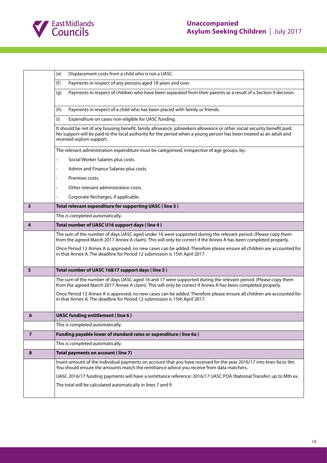

|                | Displacement costs from a child who is not a UASC.<br>(e)                                                                                                                                                                                                                |  |
|----------------|--------------------------------------------------------------------------------------------------------------------------------------------------------------------------------------------------------------------------------------------------------------------------|--|
|                | (f)<br>Payments in respect of any persons aged 18 years and over.                                                                                                                                                                                                        |  |
|                | Payments in respect of children who have been separated from their parents as a result of a Section 9 decision.<br>(g)                                                                                                                                                   |  |
|                | Payments in respect of a child who has been placed with family or friends.<br>(h)                                                                                                                                                                                        |  |
|                | Expenditure on cases non-eligible for UASC funding.<br>(i)                                                                                                                                                                                                               |  |
|                | It should be net of any housing benefit, family allowance, jobseekers allowance or other social security benefit paid.<br>No support will be paid to the local authority for the period when a young person has been treated as an adult and<br>received asylum support. |  |
|                | The relevant administration expenditure must be categorised, irrespective of age groups, by:                                                                                                                                                                             |  |
|                | Social Worker Salaries plus costs.                                                                                                                                                                                                                                       |  |
|                | Admin and Finance Salaries plus costs.                                                                                                                                                                                                                                   |  |
|                | Premises costs.                                                                                                                                                                                                                                                          |  |
|                | Other relevant administration costs.                                                                                                                                                                                                                                     |  |
|                | Corporate Recharges, if applicable.                                                                                                                                                                                                                                      |  |
| 3              | Total relevant expenditure for supporting UASC (line 3)                                                                                                                                                                                                                  |  |
|                | This is completed automatically.                                                                                                                                                                                                                                         |  |
| 4              | Total number of UASC U16 support days (line 4)                                                                                                                                                                                                                           |  |
|                |                                                                                                                                                                                                                                                                          |  |
|                | The sum of the number of days UASC aged under 16 were supported during the relevant period. (Please copy them<br>from the agreed March 2017 Annex A claim). This will only be correct if the Annex A has been completed properly.                                        |  |
|                | Once Period 12 Annex A is approved, no new cases can be added. Therefore please ensure all children are accounted for<br>in that Annex A. The deadline for Period 12 submission is 15th April 2017.                                                                      |  |
| 5              | Total number of UASC 16&17 support days (line 5)                                                                                                                                                                                                                         |  |
|                | The sum of the number of days UASC aged 16 and 17 were supported during the relevant period. (Please copy them<br>from the agreed March 2017 Annex A claim). This will only be correct if Annex A has been completed properly.                                           |  |
|                | Once Period 12 Annex A is approved, no new cases can be added. Therefore please ensure all children are accounted for<br>in that Annex A. The deadline for Period 12 submission is 15th April 2017.                                                                      |  |
| o              | <b>UASC funding entitlement (line 6)</b>                                                                                                                                                                                                                                 |  |
|                | This is completed automatically.                                                                                                                                                                                                                                         |  |
| $\overline{7}$ | Funding payable lower of standard rates or expenditure (line 6a)                                                                                                                                                                                                         |  |
|                | This is completed automatically.                                                                                                                                                                                                                                         |  |
| 8              | Total payments on account (line 7)                                                                                                                                                                                                                                       |  |
|                | Insert amount of the individual payments on account that you have received for the year 2016/17 into lines 9a to 9m.<br>You should ensure the amounts match the remittance advice you receive from data matchers.                                                        |  |
|                | UASC 2016/17 funding payments will have a remittance reference: 2016/17 UASC POA (National Transfer) up to Mth xx.                                                                                                                                                       |  |
|                | The total will be calculated automatically in lines 7 and 9.                                                                                                                                                                                                             |  |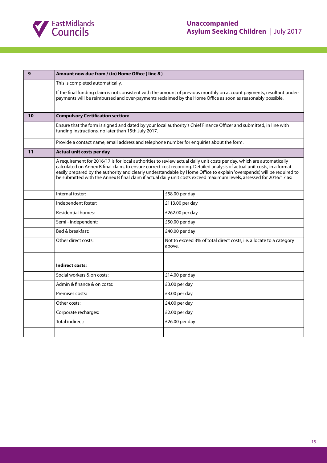

| 9  | Amount now due from / (to) Home Office (line 8)                                                                                                                                                                                      |                                                                                                                                                                                                                                                                                                                                                                                                                                                                                                      |  |
|----|--------------------------------------------------------------------------------------------------------------------------------------------------------------------------------------------------------------------------------------|------------------------------------------------------------------------------------------------------------------------------------------------------------------------------------------------------------------------------------------------------------------------------------------------------------------------------------------------------------------------------------------------------------------------------------------------------------------------------------------------------|--|
|    | This is completed automatically.                                                                                                                                                                                                     |                                                                                                                                                                                                                                                                                                                                                                                                                                                                                                      |  |
|    | If the final funding claim is not consistent with the amount of previous monthly on account payments, resultant under-<br>payments will be reimbursed and over-payments reclaimed by the Home Office as soon as reasonably possible. |                                                                                                                                                                                                                                                                                                                                                                                                                                                                                                      |  |
| 10 | <b>Compulsory Certification section:</b>                                                                                                                                                                                             |                                                                                                                                                                                                                                                                                                                                                                                                                                                                                                      |  |
|    | Ensure that the form is signed and dated by your local authority's Chief Finance Officer and submitted, in line with<br>funding instructions, no later than 15th July 2017.                                                          |                                                                                                                                                                                                                                                                                                                                                                                                                                                                                                      |  |
|    | Provide a contact name, email address and telephone number for enquiries about the form.                                                                                                                                             |                                                                                                                                                                                                                                                                                                                                                                                                                                                                                                      |  |
| 11 | Actual unit costs per day                                                                                                                                                                                                            |                                                                                                                                                                                                                                                                                                                                                                                                                                                                                                      |  |
|    |                                                                                                                                                                                                                                      | A requirement for 2016/17 is for local authorities to review actual daily unit costs per day, which are automatically<br>calculated on Annex B final claim, to ensure correct cost recording. Detailed analysis of actual unit costs, in a format<br>easily prepared by the authority and clearly understandable by Home Office to explain 'overspends', will be required to<br>be submitted with the Annex B final claim if actual daily unit costs exceed maximum levels, assessed for 2016/17 as: |  |
|    | Internal foster:                                                                                                                                                                                                                     | £58.00 per day                                                                                                                                                                                                                                                                                                                                                                                                                                                                                       |  |
|    | Independent foster:                                                                                                                                                                                                                  | £113.00 per day                                                                                                                                                                                                                                                                                                                                                                                                                                                                                      |  |
|    | <b>Residential homes:</b>                                                                                                                                                                                                            | £262.00 per day                                                                                                                                                                                                                                                                                                                                                                                                                                                                                      |  |
|    | Semi - independent:                                                                                                                                                                                                                  | £50.00 per day                                                                                                                                                                                                                                                                                                                                                                                                                                                                                       |  |
|    | Bed & breakfast:                                                                                                                                                                                                                     | £40.00 per day                                                                                                                                                                                                                                                                                                                                                                                                                                                                                       |  |
|    | Other direct costs:                                                                                                                                                                                                                  | Not to exceed 3% of total direct costs, i.e. allocate to a category<br>above.                                                                                                                                                                                                                                                                                                                                                                                                                        |  |
|    |                                                                                                                                                                                                                                      |                                                                                                                                                                                                                                                                                                                                                                                                                                                                                                      |  |
|    | <b>Indirect costs:</b>                                                                                                                                                                                                               |                                                                                                                                                                                                                                                                                                                                                                                                                                                                                                      |  |
|    | Social workers & on costs:                                                                                                                                                                                                           | £14.00 per day                                                                                                                                                                                                                                                                                                                                                                                                                                                                                       |  |
|    | Admin & finance & on costs:                                                                                                                                                                                                          | £3.00 per day                                                                                                                                                                                                                                                                                                                                                                                                                                                                                        |  |
|    | Premises costs:                                                                                                                                                                                                                      | £3.00 per day                                                                                                                                                                                                                                                                                                                                                                                                                                                                                        |  |
|    | Other costs:                                                                                                                                                                                                                         | £4.00 per day                                                                                                                                                                                                                                                                                                                                                                                                                                                                                        |  |
|    | Corporate recharges:                                                                                                                                                                                                                 | £2.00 per day                                                                                                                                                                                                                                                                                                                                                                                                                                                                                        |  |
|    | Total indirect:                                                                                                                                                                                                                      | £26.00 per day                                                                                                                                                                                                                                                                                                                                                                                                                                                                                       |  |
|    |                                                                                                                                                                                                                                      |                                                                                                                                                                                                                                                                                                                                                                                                                                                                                                      |  |